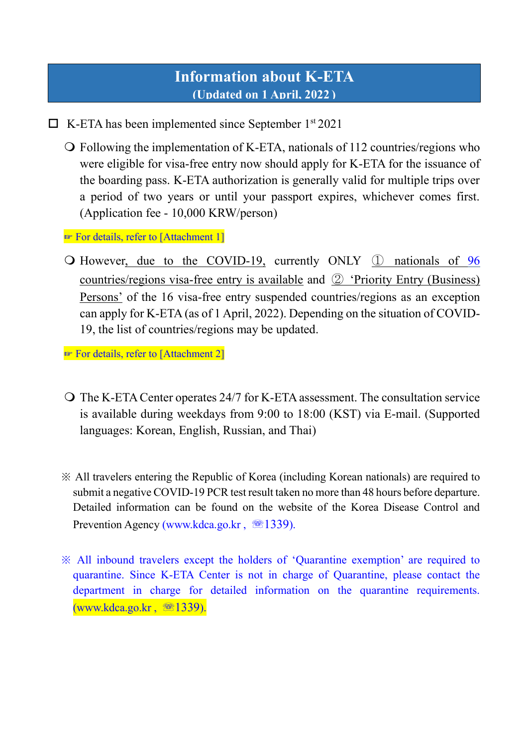# **Information about K-ETA (Updated on 1 April, 2022 )**

 $\Box$  K-ETA has been implemented since September 1<sup>st</sup> 2021

 Following the implementation of K-ETA, nationals of 112 countries/regions who were eligible for visa-free entry now should apply for K-ETA for the issuance of the boarding pass. K-ETA authorization is generally valid for multiple trips over a period of two years or until your passport expires, whichever comes first. (Application fee - 10,000 KRW/person)

☞ For details, refer to [Attachment 1]

 However, due to the COVID-19, currently ONLY ① nationals of 96 countries/regions visa-free entry is available and ② 'Priority Entry (Business) Persons' of the 16 visa-free entry suspended countries/regions as an exception can apply for K-ETA (as of 1 April, 2022). Depending on the situation of COVID-19, the list of countries/regions may be updated.

☞ For details, refer to [Attachment 2]

- The K-ETA Center operates 24/7 for K-ETA assessment. The consultation service is available during weekdays from 9:00 to 18:00 (KST) via E-mail. (Supported languages: Korean, English, Russian, and Thai)
- ※ All travelers entering the Republic of Korea (including Korean nationals) are required to submit a negative COVID-19 PCR test result taken no more than 48 hours before departure. Detailed information can be found on the website of the Korea Disease Control and Prevention Agency [\(www.kdca.go.kr](http://www.kdca.go.kr/), 1339).
- ※ All inbound travelers except the holders of 'Quarantine exemption' are required to quarantine. Since K-ETA Center is not in charge of Quarantine, please contact the department in charge for detailed information on the quarantine requirements. [\(www.kdca.go.kr](http://www.kdca.go.kr/) , ☏1339).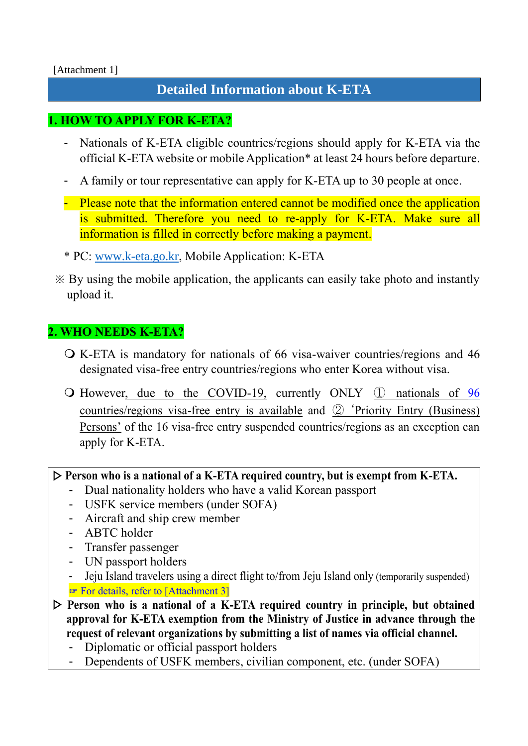#### [Attachment 1]

# **Detailed Information about K-ETA**

### **1. HOW TO APPLY FOR K-ETA?**

- Nationals of K-ETA eligible countries/regions should apply for K-ETA via the official K-ETA website or mobile Application\* at least 24 hours before departure.
- A family or tour representative can apply for K-ETA up to 30 people at once.
- Please note that the information entered cannot be modified once the application is submitted. Therefore you need to re-apply for K-ETA. Make sure all information is filled in correctly before making a payment.
- \* PC: [www.k-eta.go.kr,](http://www.k-eta.go.kr/) Mobile Application: K-ETA
- ※ By using the mobile application, the applicants can easily take photo and instantly upload it.

### **2. WHO NEEDS K-ETA?**

- K-ETA is mandatory for nationals of 66 visa-waiver countries/regions and 46 designated visa-free entry countries/regions who enter Korea without visa.
- However, due to the COVID-19, currently ONLY ① nationals of 96 countries/regions visa-free entry is available and ② 'Priority Entry (Business) Persons' of the 16 visa-free entry suspended countries/regions as an exception can apply for K-ETA.

### ▷ **Person who is a national of a K-ETA required country, but is exempt from K-ETA.**

- Dual nationality holders who have a valid Korean passport
- USFK service members (under SOFA)
- Aircraft and ship crew member
- ABTC holder
- Transfer passenger
- UN passport holders
- Jeju Island travelers using a direct flight to/from Jeju Island only (temporarily suspended) ☞ For details, refer to [Attachment 3]
- ▷ **Person who is a national of a K-ETA required country in principle, but obtained approval for K-ETA exemption from the Ministry of Justice in advance through the request of relevant organizations by submitting a list of names via official channel.**
	- Diplomatic or official passport holders
	- Dependents of USFK members, civilian component, etc. (under SOFA)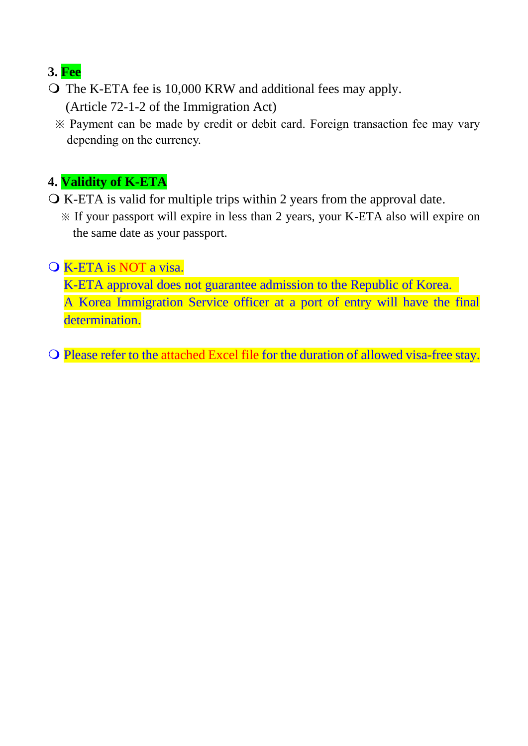# **3. Fee**

- The K-ETA fee is 10,000 KRW and additional fees may apply. (Article 72-1-2 of the Immigration Act)
	- ※ Payment can be made by credit or debit card. Foreign transaction fee may vary depending on the currency.

# **4. Validity of K-ETA**

- K-ETA is valid for multiple trips within 2 years from the approval date.
	- ※ If your passport will expire in less than 2 years, your K-ETA also will expire on the same date as your passport.

### K-ETA is NOT a visa.

K-ETA approval does not guarantee admission to the Republic of Korea. A Korea Immigration Service officer at a port of entry will have the final determination.

Please refer to the attached Excel file for the duration of allowed visa-free stay.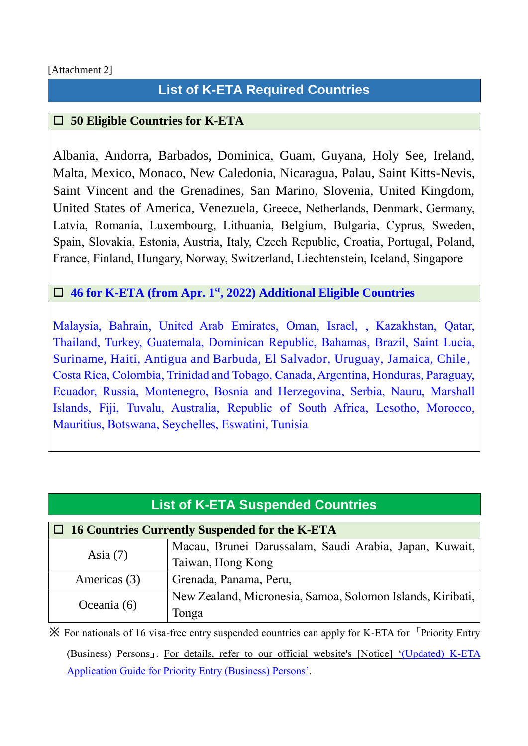### **List of K-ETA Required Countries**

### **50 Eligible Countries for K-ETA**

Albania, Andorra, Barbados, Dominica, Guam, Guyana, Holy See, Ireland, Malta, Mexico, Monaco, New Caledonia, Nicaragua, Palau, Saint Kitts-Nevis, Saint Vincent and the Grenadines, San Marino, Slovenia, United Kingdom, United States of America, Venezuela, Greece, Netherlands, Denmark, Germany, Latvia, Romania, Luxembourg, Lithuania, Belgium, Bulgaria, Cyprus, Sweden, Spain, Slovakia, Estonia, Austria, Italy, Czech Republic, Croatia, Portugal, Poland, France, Finland, Hungary, Norway, Switzerland, Liechtenstein, Iceland, Singapore

#### **46 for K-ETA (from Apr. 1st, 2022) Additional Eligible Countries**

Malaysia, Bahrain, United Arab Emirates, Oman, Israel, , Kazakhstan, Qatar, Thailand, Turkey, Guatemala, Dominican Republic, Bahamas, Brazil, Saint Lucia, Suriname, Haiti, Antigua and Barbuda, El Salvador, Uruguay, Jamaica, Chile, Costa Rica, Colombia, Trinidad and Tobago, Canada, Argentina, Honduras, Paraguay, Ecuador, Russia, Montenegro, Bosnia and Herzegovina, Serbia, Nauru, Marshall Islands, Fiji, Tuvalu, Australia, Republic of South Africa, Lesotho, Morocco, Mauritius, Botswana, Seychelles, Eswatini, Tunisia

| <b>List of K-ETA Suspended Countries</b>              |                                                            |  |
|-------------------------------------------------------|------------------------------------------------------------|--|
| $\Box$ 16 Countries Currently Suspended for the K-ETA |                                                            |  |
| Asia $(7)$                                            | Macau, Brunei Darussalam, Saudi Arabia, Japan, Kuwait,     |  |
|                                                       | Taiwan, Hong Kong                                          |  |
| Americas (3)                                          | Grenada, Panama, Peru,                                     |  |
| Oceania (6)                                           | New Zealand, Micronesia, Samoa, Solomon Islands, Kiribati, |  |
|                                                       | Tonga                                                      |  |

**※** For nationals of 16 visa-free entry suspended countries can apply for K-ETA for 「Priority Entry (Business) Persons」. For details, refer to our official website's [Notice] '(Updated) K-ETA Application Guide for Priority Entry (Business) Persons'.